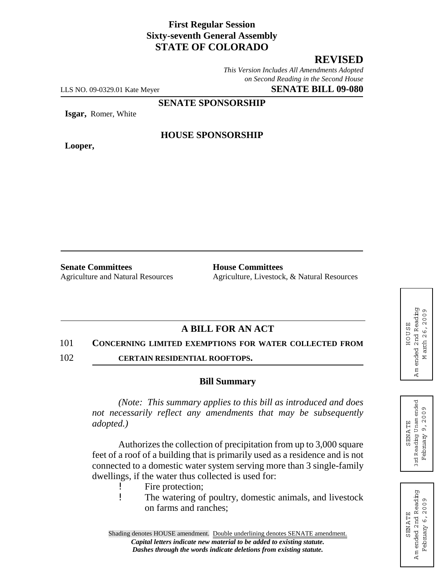# **First Regular Session Sixty-seventh General Assembly STATE OF COLORADO**

# **REVISED**

*This Version Includes All Amendments Adopted on Second Reading in the Second House*

LLS NO. 09-0329.01 Kate Meyer **SENATE BILL 09-080**

**SENATE SPONSORSHIP**

**Isgar,** Romer, White

**Looper,**

### **HOUSE SPONSORSHIP**

**Senate Committees Four House Committees** 

Agriculture and Natural Resources Agriculture, Livestock, & Natural Resources

## **A BILL FOR AN ACT**

#### 101 **CONCERNING LIMITED EXEMPTIONS FOR WATER COLLECTED FROM**

102 **CERTAIN RESIDENTIAL ROOFTOPS.**

#### **Bill Summary**

*(Note: This summary applies to this bill as introduced and does not necessarily reflect any amendments that may be subsequently adopted.)*

Authorizes the collection of precipitation from up to 3,000 square feet of a roof of a building that is primarily used as a residence and is not connected to a domestic water system serving more than 3 single-family dwellings, if the water thus collected is used for:

- ! Fire protection;
- ! The watering of poultry, domestic animals, and livestock on farms and ranches;

ended 2nd Reading A m ended 2nd Reading arch 26, 2009 M arch 26,2009 HOUSE HOUSE  $\Sigma$ Am  $\epsilon$ 



SENA TE

**SENATE** 

February 9,2009

February

9,2009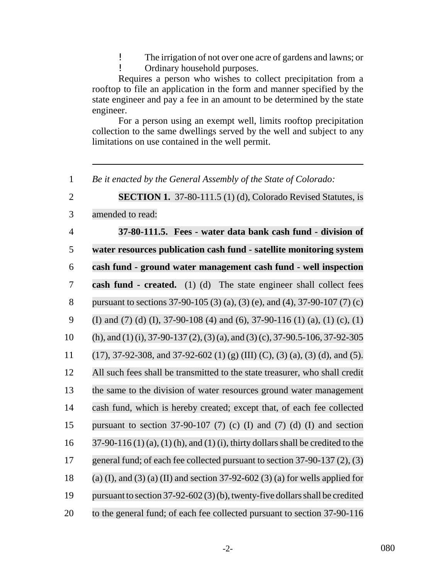! The irrigation of not over one acre of gardens and lawns; or

! Ordinary household purposes.

Requires a person who wishes to collect precipitation from a rooftop to file an application in the form and manner specified by the state engineer and pay a fee in an amount to be determined by the state engineer.

For a person using an exempt well, limits rooftop precipitation collection to the same dwellings served by the well and subject to any limitations on use contained in the well permit.

1 *Be it enacted by the General Assembly of the State of Colorado:*

2 **SECTION 1.** 37-80-111.5 (1) (d), Colorado Revised Statutes, is

3 amended to read:

 **37-80-111.5. Fees - water data bank cash fund - division of water resources publication cash fund - satellite monitoring system cash fund - ground water management cash fund - well inspection cash fund - created.** (1) (d) The state engineer shall collect fees pursuant to sections 37-90-105 (3) (a), (3) (e), and (4), 37-90-107 (7) (c) 9 (I) and (7) (d) (I), 37-90-108 (4) and (6), 37-90-116 (1) (a), (1) (c), (1) (h), and (1) (i), 37-90-137 (2),(3)(a), and (3) (c), 37-90.5-106, 37-92-305 11 (17), 37-92-308, and 37-92-602 (1) (g) (III) (C), (3) (a), (3) (d), and (5). All such fees shall be transmitted to the state treasurer, who shall credit the same to the division of water resources ground water management cash fund, which is hereby created; except that, of each fee collected pursuant to section 37-90-107 (7) (c) (I) and (7) (d) (I) and section  $37-90-116(1)(a)$ , (1) (h), and (1) (i), thirty dollars shall be credited to the general fund; of each fee collected pursuant to section 37-90-137 (2), (3) 18 (a) (I), and (3) (a) (II) and section 37-92-602 (3) (a) for wells applied for pursuant to section 37-92-602 (3)(b), twenty-five dollars shall be credited to the general fund; of each fee collected pursuant to section 37-90-116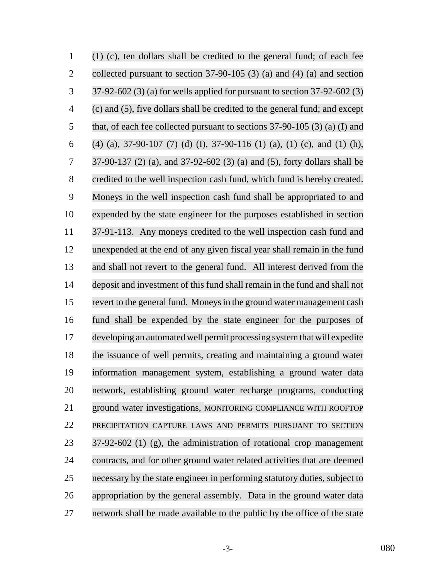| $\mathbf{1}$   | $(1)$ (c), ten dollars shall be credited to the general fund; of each fee    |
|----------------|------------------------------------------------------------------------------|
| $\overline{2}$ | collected pursuant to section $37-90-105$ (3) (a) and (4) (a) and section    |
| 3              | 37-92-602 (3) (a) for wells applied for pursuant to section 37-92-602 (3)    |
| $\overline{4}$ | (c) and (5), five dollars shall be credited to the general fund; and except  |
| 5              | that, of each fee collected pursuant to sections $37-90-105$ (3) (a) (I) and |
| 6              | $(4)$ (a), 37-90-107 (7) (d) (I), 37-90-116 (1) (a), (1) (c), and (1) (h),   |
| 7              | 37-90-137 (2) (a), and 37-92-602 (3) (a) and (5), forty dollars shall be     |
| 8              | credited to the well inspection cash fund, which fund is hereby created.     |
| 9              | Moneys in the well inspection cash fund shall be appropriated to and         |
| 10             | expended by the state engineer for the purposes established in section       |
| 11             | 37-91-113. Any moneys credited to the well inspection cash fund and          |
| 12             | unexpended at the end of any given fiscal year shall remain in the fund      |
| 13             | and shall not revert to the general fund. All interest derived from the      |
| 14             | deposit and investment of this fund shall remain in the fund and shall not   |
| 15             | revert to the general fund. Moneys in the ground water management cash       |
| 16             | fund shall be expended by the state engineer for the purposes of             |
| 17             | developing an automated well permit processing system that will expedite     |
| 18             | the issuance of well permits, creating and maintaining a ground water        |
| 19             | information management system, establishing a ground water data              |
| 20             | network, establishing ground water recharge programs, conducting             |
| 21             | ground water investigations, MONITORING COMPLIANCE WITH ROOFTOP              |
| 22             | PRECIPITATION CAPTURE LAWS AND PERMITS PURSUANT TO SECTION                   |
| 23             | $37-92-602$ (1) (g), the administration of rotational crop management        |
| 24             | contracts, and for other ground water related activities that are deemed     |
| 25             | necessary by the state engineer in performing statutory duties, subject to   |
| 26             | appropriation by the general assembly. Data in the ground water data         |
| 27             | network shall be made available to the public by the office of the state     |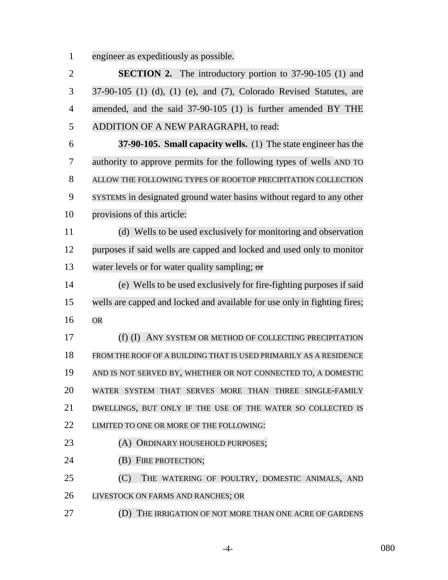engineer as expeditiously as possible.

 **SECTION 2.** The introductory portion to 37-90-105 (1) and 37-90-105 (1) (d), (1) (e), and (7), Colorado Revised Statutes, are amended, and the said 37-90-105 (1) is further amended BY THE ADDITION OF A NEW PARAGRAPH, to read: **37-90-105. Small capacity wells.** (1) The state engineer has the authority to approve permits for the following types of wells AND TO ALLOW THE FOLLOWING TYPES OF ROOFTOP PRECIPITATION COLLECTION SYSTEMS in designated ground water basins without regard to any other provisions of this article: (d) Wells to be used exclusively for monitoring and observation purposes if said wells are capped and locked and used only to monitor 13 water levels or for water quality sampling; or (e) Wells to be used exclusively for fire-fighting purposes if said wells are capped and locked and available for use only in fighting fires; OR (f) (I) ANY SYSTEM OR METHOD OF COLLECTING PRECIPITATION FROM THE ROOF OF A BUILDING THAT IS USED PRIMARILY AS A RESIDENCE AND IS NOT SERVED BY, WHETHER OR NOT CONNECTED TO, A DOMESTIC WATER SYSTEM THAT SERVES MORE THAN THREE SINGLE-FAMILY DWELLINGS, BUT ONLY IF THE USE OF THE WATER SO COLLECTED IS 22 LIMITED TO ONE OR MORE OF THE FOLLOWING: **(A) ORDINARY HOUSEHOLD PURPOSES; (B) FIRE PROTECTION;**  (C) THE WATERING OF POULTRY, DOMESTIC ANIMALS, AND LIVESTOCK ON FARMS AND RANCHES; OR (D) THE IRRIGATION OF NOT MORE THAN ONE ACRE OF GARDENS

-4- 080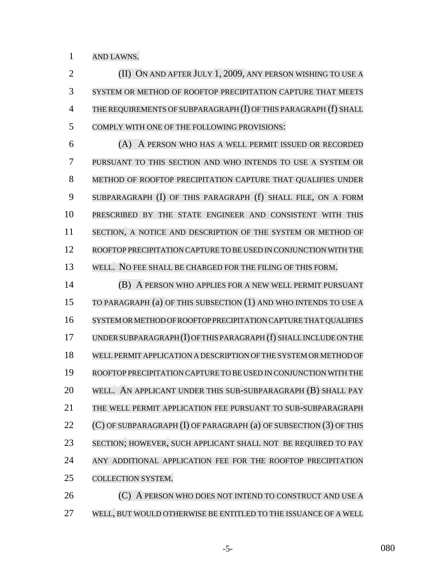AND LAWNS.

 (II) ON AND AFTER JULY 1, 2009, ANY PERSON WISHING TO USE A SYSTEM OR METHOD OF ROOFTOP PRECIPITATION CAPTURE THAT MEETS THE REQUIREMENTS OF SUBPARAGRAPH (I) OF THIS PARAGRAPH (f) SHALL COMPLY WITH ONE OF THE FOLLOWING PROVISIONS:

 (A) A PERSON WHO HAS A WELL PERMIT ISSUED OR RECORDED PURSUANT TO THIS SECTION AND WHO INTENDS TO USE A SYSTEM OR METHOD OF ROOFTOP PRECIPITATION CAPTURE THAT QUALIFIES UNDER SUBPARAGRAPH (I) OF THIS PARAGRAPH (f) SHALL FILE, ON A FORM PRESCRIBED BY THE STATE ENGINEER AND CONSISTENT WITH THIS 11 SECTION, A NOTICE AND DESCRIPTION OF THE SYSTEM OR METHOD OF ROOFTOP PRECIPITATION CAPTURE TO BE USED IN CONJUNCTION WITH THE WELL. NO FEE SHALL BE CHARGED FOR THE FILING OF THIS FORM.

 (B) A PERSON WHO APPLIES FOR A NEW WELL PERMIT PURSUANT TO PARAGRAPH (a) OF THIS SUBSECTION (1) AND WHO INTENDS TO USE A SYSTEM OR METHOD OF ROOFTOP PRECIPITATION CAPTURE THAT QUALIFIES UNDERSUBPARAGRAPH(I)OFTHIS PARAGRAPH (f) SHALL INCLUDE ON THE WELL PERMIT APPLICATION A DESCRIPTION OF THE SYSTEM OR METHOD OF ROOFTOP PRECIPITATION CAPTURE TO BE USED IN CONJUNCTION WITH THE WELL. AN APPLICANT UNDER THIS SUB-SUBPARAGRAPH (B) SHALL PAY THE WELL PERMIT APPLICATION FEE PURSUANT TO SUB-SUBPARAGRAPH 22 (C) OF SUBPARAGRAPH (I) OF PARAGRAPH (a) OF SUBSECTION (3) OF THIS SECTION; HOWEVER, SUCH APPLICANT SHALL NOT BE REQUIRED TO PAY ANY ADDITIONAL APPLICATION FEE FOR THE ROOFTOP PRECIPITATION COLLECTION SYSTEM.

**(C)** A PERSON WHO DOES NOT INTEND TO CONSTRUCT AND USE A WELL, BUT WOULD OTHERWISE BE ENTITLED TO THE ISSUANCE OF A WELL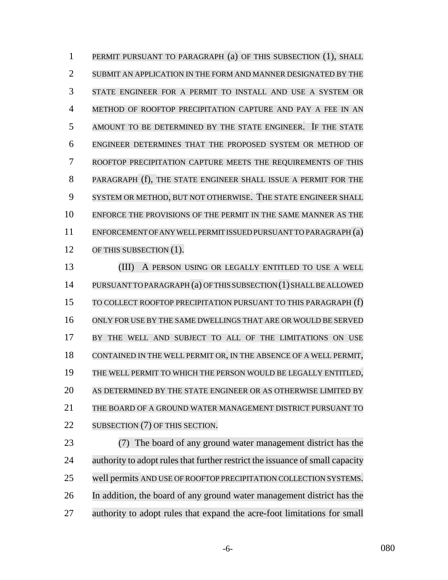PERMIT PURSUANT TO PARAGRAPH (a) OF THIS SUBSECTION (1), SHALL SUBMIT AN APPLICATION IN THE FORM AND MANNER DESIGNATED BY THE STATE ENGINEER FOR A PERMIT TO INSTALL AND USE A SYSTEM OR METHOD OF ROOFTOP PRECIPITATION CAPTURE AND PAY A FEE IN AN AMOUNT TO BE DETERMINED BY THE STATE ENGINEER. IF THE STATE ENGINEER DETERMINES THAT THE PROPOSED SYSTEM OR METHOD OF ROOFTOP PRECIPITATION CAPTURE MEETS THE REQUIREMENTS OF THIS PARAGRAPH (f), THE STATE ENGINEER SHALL ISSUE A PERMIT FOR THE SYSTEM OR METHOD, BUT NOT OTHERWISE. THE STATE ENGINEER SHALL ENFORCE THE PROVISIONS OF THE PERMIT IN THE SAME MANNER AS THE ENFORCEMENT OF ANY WELL PERMIT ISSUED PURSUANT TO PARAGRAPH (a) 12 OF THIS SUBSECTION (1).

 (III) A PERSON USING OR LEGALLY ENTITLED TO USE A WELL PURSUANTTOPARAGRAPH (a) OFTHIS SUBSECTION (1) SHALLBE ALLOWED TO COLLECT ROOFTOP PRECIPITATION PURSUANT TO THIS PARAGRAPH (f) ONLY FOR USE BY THE SAME DWELLINGS THAT ARE OR WOULD BE SERVED BY THE WELL AND SUBJECT TO ALL OF THE LIMITATIONS ON USE CONTAINED IN THE WELL PERMIT OR, IN THE ABSENCE OF A WELL PERMIT, THE WELL PERMIT TO WHICH THE PERSON WOULD BE LEGALLY ENTITLED, AS DETERMINED BY THE STATE ENGINEER OR AS OTHERWISE LIMITED BY THE BOARD OF A GROUND WATER MANAGEMENT DISTRICT PURSUANT TO 22 SUBSECTION (7) OF THIS SECTION.

 (7) The board of any ground water management district has the 24 authority to adopt rules that further restrict the issuance of small capacity well permits AND USE OF ROOFTOP PRECIPITATION COLLECTION SYSTEMS. In addition, the board of any ground water management district has the authority to adopt rules that expand the acre-foot limitations for small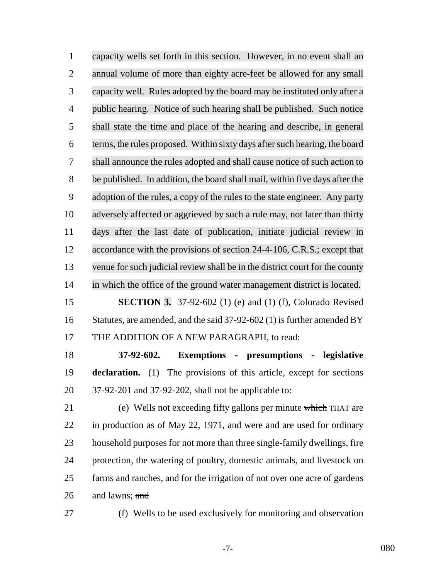capacity wells set forth in this section. However, in no event shall an annual volume of more than eighty acre-feet be allowed for any small capacity well. Rules adopted by the board may be instituted only after a public hearing. Notice of such hearing shall be published. Such notice shall state the time and place of the hearing and describe, in general terms, the rules proposed. Within sixty days after such hearing, the board shall announce the rules adopted and shall cause notice of such action to be published. In addition, the board shall mail, within five days after the adoption of the rules, a copy of the rules to the state engineer. Any party adversely affected or aggrieved by such a rule may, not later than thirty days after the last date of publication, initiate judicial review in 12 accordance with the provisions of section 24-4-106, C.R.S.; except that venue for such judicial review shall be in the district court for the county in which the office of the ground water management district is located. **SECTION 3.** 37-92-602 (1) (e) and (1) (f), Colorado Revised 16 Statutes, are amended, and the said 37-92-602 (1) is further amended BY THE ADDITION OF A NEW PARAGRAPH, to read:

 **37-92-602. Exemptions - presumptions - legislative declaration.** (1) The provisions of this article, except for sections 37-92-201 and 37-92-202, shall not be applicable to:

 (e) Wells not exceeding fifty gallons per minute which THAT are in production as of May 22, 1971, and were and are used for ordinary household purposes for not more than three single-family dwellings, fire protection, the watering of poultry, domestic animals, and livestock on farms and ranches, and for the irrigation of not over one acre of gardens and lawns; and

(f) Wells to be used exclusively for monitoring and observation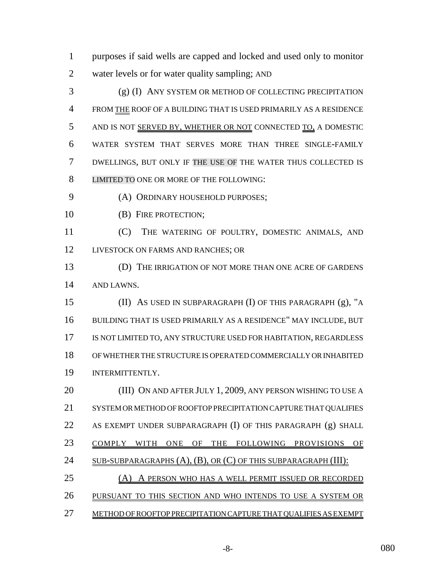purposes if said wells are capped and locked and used only to monitor water levels or for water quality sampling; AND

 (g) (I) ANY SYSTEM OR METHOD OF COLLECTING PRECIPITATION FROM THE ROOF OF A BUILDING THAT IS USED PRIMARILY AS A RESIDENCE 5 AND IS NOT SERVED BY, WHETHER OR NOT CONNECTED TO, A DOMESTIC WATER SYSTEM THAT SERVES MORE THAN THREE SINGLE-FAMILY DWELLINGS, BUT ONLY IF THE USE OF THE WATER THUS COLLECTED IS LIMITED TO ONE OR MORE OF THE FOLLOWING:

(A) ORDINARY HOUSEHOLD PURPOSES;

**(B)** FIRE PROTECTION;

 (C) THE WATERING OF POULTRY, DOMESTIC ANIMALS, AND 12 LIVESTOCK ON FARMS AND RANCHES; OR

 (D) THE IRRIGATION OF NOT MORE THAN ONE ACRE OF GARDENS AND LAWNS.

 (II) AS USED IN SUBPARAGRAPH (I) OF THIS PARAGRAPH (g), "A BUILDING THAT IS USED PRIMARILY AS A RESIDENCE" MAY INCLUDE, BUT 17 IS NOT LIMITED TO, ANY STRUCTURE USED FOR HABITATION, REGARDLESS OF WHETHER THE STRUCTURE IS OPERATED COMMERCIALLY OR INHABITED INTERMITTENTLY.

 (III) ON AND AFTER JULY 1, 2009, ANY PERSON WISHING TO USE A SYSTEM OR METHOD OF ROOFTOP PRECIPITATION CAPTURE THAT QUALIFIES 22 AS EXEMPT UNDER SUBPARAGRAPH (I) OF THIS PARAGRAPH (g) SHALL COMPLY WITH ONE OF THE FOLLOWING PROVISIONS OF 24 SUB-SUBPARAGRAPHS (A), (B), OR (C) OF THIS SUBPARAGRAPH (III): (A) A PERSON WHO HAS A WELL PERMIT ISSUED OR RECORDED PURSUANT TO THIS SECTION AND WHO INTENDS TO USE A SYSTEM OR METHOD OF ROOFTOP PRECIPITATION CAPTURE THAT QUALIFIES AS EXEMPT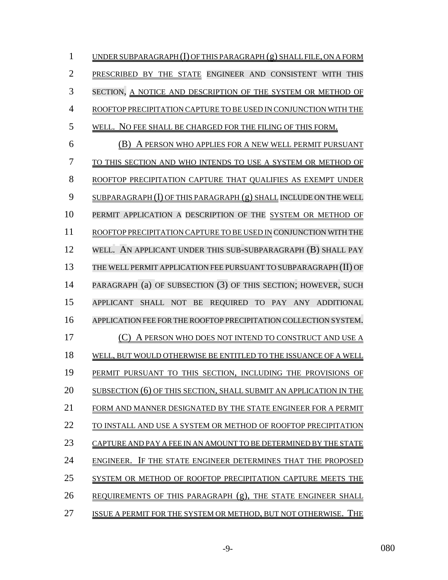| $\mathbf{1}$   | UNDER SUBPARAGRAPH $(I)$ OF THIS PARAGRAPH $(g)$ SHALL FILE, ON A FORM |
|----------------|------------------------------------------------------------------------|
| $\overline{2}$ | PRESCRIBED BY THE STATE ENGINEER AND CONSISTENT WITH THIS              |
| 3              | SECTION, A NOTICE AND DESCRIPTION OF THE SYSTEM OR METHOD OF           |
| 4              | ROOFTOP PRECIPITATION CAPTURE TO BE USED IN CONJUNCTION WITH THE       |
| 5              | WELL. NO FEE SHALL BE CHARGED FOR THE FILING OF THIS FORM.             |
| 6              | (B) A PERSON WHO APPLIES FOR A NEW WELL PERMIT PURSUANT                |
| 7              | TO THIS SECTION AND WHO INTENDS TO USE A SYSTEM OR METHOD OF           |
| 8              | ROOFTOP PRECIPITATION CAPTURE THAT QUALIFIES AS EXEMPT UNDER           |
| 9              | SUBPARAGRAPH (I) OF THIS PARAGRAPH (g) SHALL INCLUDE ON THE WELL       |
| 10             | PERMIT APPLICATION A DESCRIPTION OF THE SYSTEM OR METHOD OF            |
| 11             | ROOFTOP PRECIPITATION CAPTURE TO BE USED IN CONJUNCTION WITH THE       |
| 12             | WELL. AN APPLICANT UNDER THIS SUB-SUBPARAGRAPH (B) SHALL PAY           |
| 13             | THE WELL PERMIT APPLICATION FEE PURSUANT TO SUBPARAGRAPH (II) OF       |
| 14             | PARAGRAPH (a) OF SUBSECTION (3) OF THIS SECTION; HOWEVER, SUCH         |
| 15             | APPLICANT SHALL NOT BE REQUIRED TO PAY ANY ADDITIONAL                  |
| 16             | APPLICATION FEE FOR THE ROOFTOP PRECIPITATION COLLECTION SYSTEM.       |
| 17             | A PERSON WHO DOES NOT INTEND TO CONSTRUCT AND USE A                    |
| 18             | WELL, BUT WOULD OTHERWISE BE ENTITLED TO THE ISSUANCE OF A WELL        |
| 19             | PERMIT PURSUANT TO THIS SECTION, INCLUDING THE PROVISIONS OF           |
| 20             | SUBSECTION (6) OF THIS SECTION, SHALL SUBMIT AN APPLICATION IN THE     |
| 21             | FORM AND MANNER DESIGNATED BY THE STATE ENGINEER FOR A PERMIT          |
| 22             | TO INSTALL AND USE A SYSTEM OR METHOD OF ROOFTOP PRECIPITATION         |
| 23             | CAPTURE AND PAY A FEE IN AN AMOUNT TO BE DETERMINED BY THE STATE       |
| 24             | ENGINEER. IF THE STATE ENGINEER DETERMINES THAT THE PROPOSED           |
| 25             | SYSTEM OR METHOD OF ROOFTOP PRECIPITATION CAPTURE MEETS THE            |
| 26             | REQUIREMENTS OF THIS PARAGRAPH (g), THE STATE ENGINEER SHALL           |
| 27             | ISSUE A PERMIT FOR THE SYSTEM OR METHOD, BUT NOT OTHERWISE. THE        |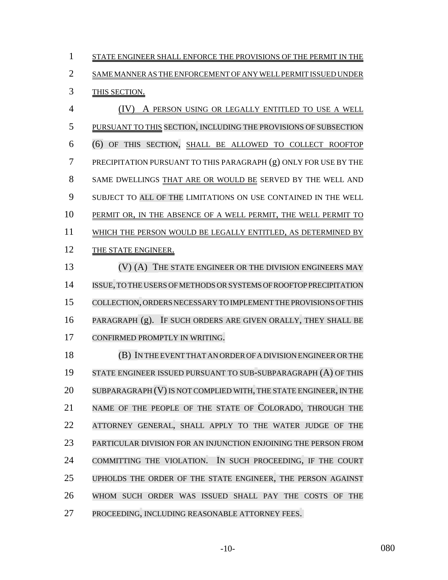1 STATE ENGINEER SHALL ENFORCE THE PROVISIONS OF THE PERMIT IN THE SAME MANNER AS THE ENFORCEMENT OF ANY WELL PERMIT ISSUED UNDER THIS SECTION.

 (IV) A PERSON USING OR LEGALLY ENTITLED TO USE A WELL PURSUANT TO THIS SECTION, INCLUDING THE PROVISIONS OF SUBSECTION (6) OF THIS SECTION, SHALL BE ALLOWED TO COLLECT ROOFTOP PRECIPITATION PURSUANT TO THIS PARAGRAPH (g) ONLY FOR USE BY THE SAME DWELLINGS THAT ARE OR WOULD BE SERVED BY THE WELL AND SUBJECT TO ALL OF THE LIMITATIONS ON USE CONTAINED IN THE WELL 10 PERMIT OR, IN THE ABSENCE OF A WELL PERMIT, THE WELL PERMIT TO WHICH THE PERSON WOULD BE LEGALLY ENTITLED, AS DETERMINED BY 12 THE STATE ENGINEER.

13 (V) (A) THE STATE ENGINEER OR THE DIVISION ENGINEERS MAY ISSUE,TO THE USERS OFMETHODS ORSYSTEMS OF ROOFTOP PRECIPITATION COLLECTION, ORDERS NECESSARY TO IMPLEMENT THE PROVISIONS OF THIS PARAGRAPH (g). IF SUCH ORDERS ARE GIVEN ORALLY, THEY SHALL BE CONFIRMED PROMPTLY IN WRITING.

 (B) IN THE EVENT THAT AN ORDER OF A DIVISION ENGINEER OR THE STATE ENGINEER ISSUED PURSUANT TO SUB-SUBPARAGRAPH (A) OF THIS 20 SUBPARAGRAPH (V) IS NOT COMPLIED WITH, THE STATE ENGINEER, IN THE NAME OF THE PEOPLE OF THE STATE OF COLORADO, THROUGH THE ATTORNEY GENERAL, SHALL APPLY TO THE WATER JUDGE OF THE PARTICULAR DIVISION FOR AN INJUNCTION ENJOINING THE PERSON FROM COMMITTING THE VIOLATION. IN SUCH PROCEEDING, IF THE COURT UPHOLDS THE ORDER OF THE STATE ENGINEER, THE PERSON AGAINST WHOM SUCH ORDER WAS ISSUED SHALL PAY THE COSTS OF THE PROCEEDING, INCLUDING REASONABLE ATTORNEY FEES.